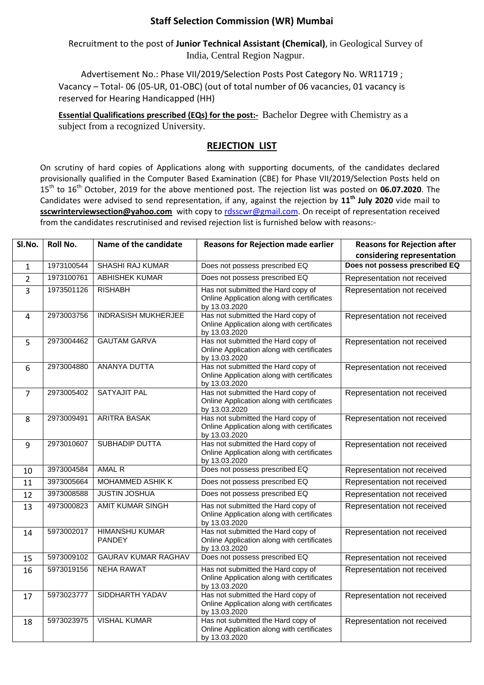## **Staff Selection Commission (WR) Mumbai**

Recruitment to the post of **Junior Technical Assistant (Chemical)**, in Geological Survey of India, Central Region Nagpur.

Advertisement No.: Phase VII/2019/Selection Posts Post Category No. WR11719 ; Vacancy – Total- 06 (05-UR, 01-OBC) (out of total number of 06 vacancies, 01 vacancy is reserved for Hearing Handicapped (HH)

**Essential Qualifications prescribed (EQs) for the post:-** Bachelor Degree with Chemistry as a subject from a recognized University.

## **REJECTION LIST**

On scrutiny of hard copies of Applications along with supporting documents, of the candidates declared provisionally qualified in the Computer Based Examination (CBE) for Phase VII/2019/Selection Posts held on 15 th to 16th October, 2019 for the above mentioned post. The rejection list was posted on **06.07.2020**. The Candidates were advised to send representation, if any, against the rejection by **11th July 2020** vide mail to sscwrinterviewsection@yahoo.com with copy to [rdsscwr@gmail.com.](mailto:rdsscwr@gmail.com) On receipt of representation received from the candidates rescrutinised and revised rejection list is furnished below with reasons:-

| SI.No.         | Roll No.   | Name of the candidate           | <b>Reasons for Rejection made earlier</b>                                                         | <b>Reasons for Rejection after</b><br>considering representation |
|----------------|------------|---------------------------------|---------------------------------------------------------------------------------------------------|------------------------------------------------------------------|
| $\mathbf{1}$   | 1973100544 | <b>SHASHI RAJ KUMAR</b>         | Does not possess prescribed EQ                                                                    | Does not possess prescribed EQ                                   |
| $\overline{2}$ | 1973100761 | <b>ABHISHEK KUMAR</b>           | Does not possess prescribed EQ                                                                    | Representation not received                                      |
| 3              | 1973501126 | <b>RISHABH</b>                  | Has not submitted the Hard copy of<br>Online Application along with certificates<br>by 13.03.2020 | Representation not received                                      |
| 4              | 2973003756 | <b>INDRASISH MUKHERJEE</b>      | Has not submitted the Hard copy of<br>Online Application along with certificates<br>by 13.03.2020 | Representation not received                                      |
| 5              | 2973004462 | <b>GAUTAM GARVA</b>             | Has not submitted the Hard copy of<br>Online Application along with certificates<br>by 13.03.2020 | Representation not received                                      |
| 6              | 2973004880 | <b>ANANYA DUTTA</b>             | Has not submitted the Hard copy of<br>Online Application along with certificates<br>by 13.03.2020 | Representation not received                                      |
| $\overline{7}$ | 2973005402 | <b>SATYAJIT PAL</b>             | Has not submitted the Hard copy of<br>Online Application along with certificates<br>by 13.03.2020 | Representation not received                                      |
| 8              | 2973009491 | <b>ARITRA BASAK</b>             | Has not submitted the Hard copy of<br>Online Application along with certificates<br>by 13.03.2020 | Representation not received                                      |
| 9              | 2973010607 | <b>SUBHADIP DUTTA</b>           | Has not submitted the Hard copy of<br>Online Application along with certificates<br>by 13.03.2020 | Representation not received                                      |
| 10             | 3973004584 | <b>AMAL R</b>                   | Does not possess prescribed EQ                                                                    | Representation not received                                      |
| 11             | 3973005664 | <b>MOHAMMED ASHIK K</b>         | Does not possess prescribed EQ                                                                    | Representation not received                                      |
| 12             | 3973008588 | <b>JUSTIN JOSHUA</b>            | Does not possess prescribed EQ                                                                    | Representation not received                                      |
| 13             | 4973000823 | <b>AMIT KUMAR SINGH</b>         | Has not submitted the Hard copy of<br>Online Application along with certificates<br>by 13.03.2020 | Representation not received                                      |
| 14             | 5973002017 | <b>HIMANSHU KUMAR</b><br>PANDEY | Has not submitted the Hard copy of<br>Online Application along with certificates<br>by 13.03.2020 | Representation not received                                      |
| 15             | 5973009102 | <b>GAURAV KUMAR RAGHAV</b>      | Does not possess prescribed EQ                                                                    | Representation not received                                      |
| 16             | 5973019156 | <b>NEHA RAWAT</b>               | Has not submitted the Hard copy of<br>Online Application along with certificates<br>by 13.03.2020 | Representation not received                                      |
| 17             | 5973023777 | <b>SIDDHARTH YADAV</b>          | Has not submitted the Hard copy of<br>Online Application along with certificates<br>by 13.03.2020 | Representation not received                                      |
| 18             | 5973023975 | <b>VISHAL KUMAR</b>             | Has not submitted the Hard copy of<br>Online Application along with certificates<br>by 13.03.2020 | Representation not received                                      |